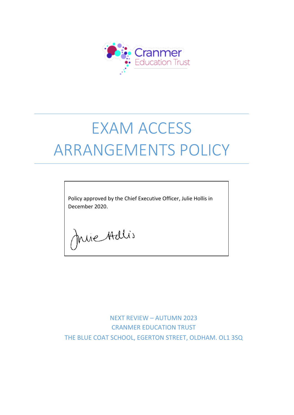

# EXAM ACCESS ARRANGEMENTS POLICY

Policy approved by the Chief Executive Officer, Julie Hollis in December 2020.

Juie Adlis

NEXT REVIEW – AUTUMN 2023 CRANMER EDUCATION TRUST THE BLUE COAT SCHOOL, EGERTON STREET, OLDHAM. OL1 3SQ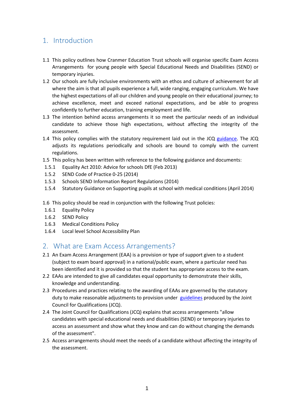# 1. Introduction

- 1.1 This policy outlines how Cranmer Education Trust schools will organise specific Exam Access Arrangements for young people with Special Educational Needs and Disabilities (SEND) or temporary injuries.
- 1.2 Our schools are fully inclusive environments with an ethos and culture of achievement for all where the aim is that all pupils experience a full, wide ranging, engaging curriculum. We have the highest expectations of all our children and young people on their educational journey; to achieve excellence, meet and exceed national expectations, and be able to progress confidently to further education, training employment and life.
- 1.3 The intention behind access arrangements it so meet the particular needs of an individual candidate to achieve those high expectations, without affecting the integrity of the assessment.
- 1.4 This policy complies with the statutory requirement laid out in the JCQ [guidance.](https://www.jcq.org.uk/exams-office/access-arrangements-and-special-consideration/) The JCQ adjusts its regulations periodically and schools are bound to comply with the current regulations.
- 1.5 This policy has been written with reference to the following guidance and documents:
- 1.5.1 Equality Act 2010: Advice for schools DfE (Feb 2013)
- 1.5.2 SEND Code of Practice 0-25 (2014)
- 1.5.3 Schools SEND Information Report Regulations (2014)
- 1.5.4 Statutory Guidance on Supporting pupils at school with medical conditions (April 2014)
- 1.6 This policy should be read in conjunction with the following Trust policies:
- 1.6.1 Equality Policy
- 1.6.2 SEND Policy
- 1.6.3 Medical Conditions Policy
- 1.6.4 Local level School Accessibility Plan

## 2. What are Exam Access Arrangements?

- 2.1 An Exam Access Arrangement (EAA) is a provision or type of support given to a student (subject to exam board approval) in a national/public exam, where a particular need has been identified and it is provided so that the student has appropriate access to the exam.
- 2.2 EAAs are intended to give all candidates equal opportunity to demonstrate their skills, knowledge and understanding.
- 2.3 Procedures and practices relating to the awarding of EAAs are governed by the statutory duty to make reasonable adjustments to provision under [guidelines](https://www.jcq.org.uk/exams-office/access-arrangements-and-special-consideration/) produced by the Joint Council for Qualifications (JCQ).
- 2.4 The Joint Council for Qualifications (JCQ) explains that access arrangements "allow candidates with special educational needs and disabilities (SEND) or temporary injuries to access an assessment and show what they know and can do without changing the demands of the assessment".
- 2.5 Access arrangements should meet the needs of a candidate without affecting the integrity of the assessment.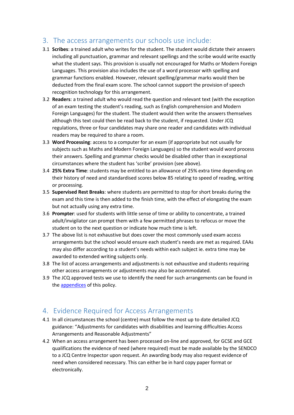# 3. The access arrangements our schools use include:

- 3.1 **Scribes**: a trained adult who writes for the student. The student would dictate their answers including all punctuation, grammar and relevant spellings and the scribe would write exactly what the student says. This provision is usually not encouraged for Maths or Modern Foreign Languages. This provision also includes the use of a word processor with spelling and grammar functions enabled. However, relevant spelling/grammar marks would then be deducted from the final exam score. The school cannot support the provision of speech recognition technology for this arrangement.
- 3.2 **Readers**: a trained adult who would read the question and relevant text (with the exception of an exam testing the student's reading, such as English comprehension and Modern Foreign Languages) for the student. The student would then write the answers themselves although this text could then be read back to the student, if requested. Under JCQ regulations, three or four candidates may share one reader and candidates with individual readers may be required to share a room.
- 3.3 **Word Processing**: access to a computer for an exam (if appropriate but not usually for subjects such as Maths and Modern Foreign Languages) so the student would word process their answers. Spelling and grammar checks would be disabled other than in exceptional circumstances where the student has 'scribe' provision (see above).
- 3.4 **25% Extra Time**: students may be entitled to an allowance of 25% extra time depending on their history of need and standardised scores below 85 relating to speed of reading, writing or processing.
- 3.5 **Supervised Rest Breaks**: where students are permitted to stop for short breaks during the exam and this time is then added to the finish time, with the effect of elongating the exam but not actually using any extra time.
- 3.6 **Prompter**: used for students with little sense of time or ability to concentrate, a trained adult/invigilator can prompt them with a few permitted phrases to refocus or move the student on to the next question or indicate how much time is left.
- 3.7 The above list is not exhaustive but does cover the most commonly used exam access arrangements but the school would ensure each student's needs are met as required. EAAs may also differ according to a student's needs within each subject ie. extra time may be awarded to extended writing subjects only.
- 3.8 The list of access arrangements and adjustments is not exhaustive and students requiring other access arrangements or adjustments may also be accommodated.
- 3.9 The JCQ approved tests we use to identify the need for such arrangements can be found in the [appendices](#page-7-0) of this policy.

## 4. Evidence Required for Access Arrangements

- 4.1 In all circumstances the school (centre) must follow the most up to date detailed JCQ guidance: "Adjustments for candidates with disabilities and learning difficulties Access Arrangements and Reasonable Adjustments"
- 4.2 When an access arrangement has been processed on-line and approved, for GCSE and GCE qualifications the evidence of need (where required) must be made available by the SENDCO to a JCQ Centre Inspector upon request. An awarding body may also request evidence of need when considered necessary. This can either be in hard copy paper format or electronically.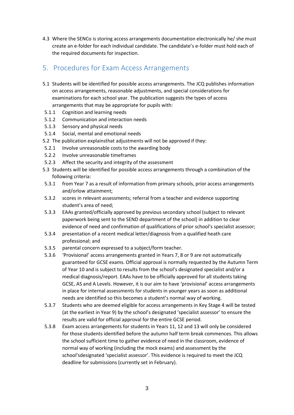4.3 Where the SENCo is storing access arrangements documentation electronically he/ she must create an e-folder for each individual candidate. The candidate's e-folder must hold each of the required documents for inspection.

# 5. Procedures for Exam Access Arrangements

- 5.1 Students will be identified for possible access arrangements. The JCQ publishes [information](https://www.jcq.org.uk/exams-office/access-arrangements-and-special-consideration/)  [on access arrangements,](https://www.jcq.org.uk/exams-office/access-arrangements-and-special-consideration/) reasonable adjustments, and special considerations for examinations for each school year. The publication suggests the types of access arrangements that may be appropriate for pupils with:
- 5.1.1 Cognition and learning needs
- 5.1.2 Communication and interaction needs
- 5.1.3 Sensory and physical needs
- 5.1.4 Social, mental and emotional needs
- 5.2 The [publication](https://www.jcq.org.uk/exams-office/access-arrangements-and-special-consideration/) explainsthat adjustments will not be approved if they:
- 5.2.1 Involve unreasonable costs to the awarding body
- 5.2.2 Involve unreasonable timeframes
- 5.2.3 Affect the security and integrity of the assessment
- 5.3 Students will be identified for possible access arrangements through a combination of the following criteria:
- 5.3.1 from Year 7 as a result of information from primary schools, prior access arrangements and/orlow attainment;
- 5.3.2 scores in relevant assessments; referral from a teacher and evidence supporting student's area of need;
- 5.3.3 EAAs granted/officially approved by previous secondary school (subject to relevant paperwork being sent to the SEND department of the school) in addition to clear evidence of need and confirmation of qualifications of prior school's specialist assessor;
- 5.3.4 presentation of a recent medical letter/diagnosis from a qualified heath care professional; and
- 5.3.5 parental concern expressed to a subject/form teacher.
- 5.3.6 'Provisional' access arrangements granted in Years 7, 8 or 9 are not automatically guaranteed for GCSE exams. Official approval is normally requested by the Autumn Term of Year 10 and is subject to results from the school's designated specialist and/or a medical diagnosis/report. EAAs have to be officially approved for all students taking GCSE, AS and A Levels. However, it is our aim to have 'provisional' access arrangements in place for internal assessments for students in younger years as soon as additional needs are identified so this becomes a student's normal way of working.
- 5.3.7 Students who are deemed eligible for access arrangements in Key Stage 4 will be tested (at the earliest in Year 9) by the school's designated 'specialist assessor' to ensure the results are valid for official approval for the entire GCSE period.
- 5.3.8 Exam access arrangements for students in Years 11, 12 and 13 will only be considered for those students identified before the autumn half term break commences. This allows the school sufficient time to gather evidence of need in the classroom, evidence of normal way of working (including the mock exams) and assessment by the school'sdesignated 'specialist assessor'. This evidence is required to meet the JCQ deadline for submissions (currently set in February).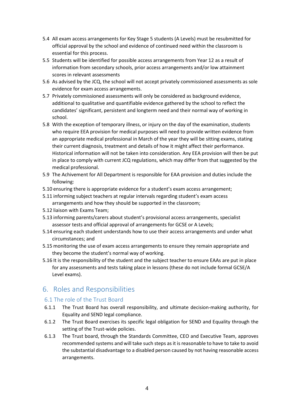- 5.4 All exam access arrangements for Key Stage 5 students (A Levels) must be resubmitted for official approval by the school and evidence of continued need within the classroom is essential for this process.
- 5.5 Students will be identified for possible access arrangements from Year 12 as a result of information from secondary schools, prior access arrangements and/or low attainment scores in relevant assessments
- 5.6 As advised by the JCQ, the school will not accept privately commissioned assessments as sole evidence for exam access arrangements.
- 5.7 Privately commissioned assessments will only be considered as background evidence, additional to qualitative and quantifiable evidence gathered by the school to reflect the candidates' significant, persistent and longterm need and their normal way of working in school.
- 5.8 With the exception of temporary illness, or injury on the day of the examination, students who require EEA provision for medical purposes will need to provide written evidence from an appropriate medical professional in March of the year they will be sitting exams, stating their current diagnosis, treatment and details of how it might affect their performance. Historical information will not be taken into consideration. Any EEA provision will then be put in place to comply with current JCQ regulations, which may differ from that suggested by the medical professional.
- 5.9 The Achivement for All Department is responsible for EAA provision and duties include the following:
- 5.10 ensuring there is appropriate evidence for a student's exam access arrangement;
- 5.11 informing subject teachers at regular intervals regarding student's exam access arrangements and how they should be supported in the classroom;
- 5.12 liaison with Exams Team;
- 5.13 informing parents/carers about student's provisional access arrangements, specialist assessor tests and official approval of arrangements for GCSE or A Levels;
- 5.14 ensuring each student understands how to use their access arrangements and under what circumstances; and
- 5.15 monitoring the use of exam access arrangements to ensure they remain appropriate and they become the student's normal way of working.
- 5.16 It is the responsibility of the student and the subject teacher to ensure EAAs are put in place for any assessments and tests taking place in lessons (these do not include formal GCSE/A Level exams).

# 6. Roles and Responsibilities

### 6.1 The role of the Trust Board

- 6.1.1 The Trust Board has overall responsibility, and ultimate decision-making authority, for Equality and SEND legal compliance.
- 6.1.2 The Trust Board exercises its specific legal obligation for SEND and Equality through the setting of the Trust-wide policies.
- 6.1.3 The Trust board, through the Standards Committee, CEO and Executive Team, approves recommended systems and will take such steps as it is reasonable to have to take to avoid the substantial disadvantage to a disabled person caused by not having reasonable access arrangements.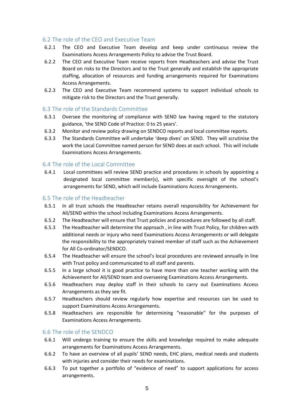#### 6.2 The role of the CEO and Executive Team

- 6.2.1 The CEO and Executive Team develop and keep under continuous review the Examinations Access Arrangements Policy to advise the Trust Board.
- 6.2.2 The CEO and Executive Team receive reports from Headteachers and advise the Trust Board on risks to the Directors and to the Trust generally and establish the appropriate staffing, allocation of resources and funding arrangements required for Examinations Access Arrangements.
- 6.2.3 The CEO and Executive Team recommend systems to support individual schools to mitigate risk to the Directors and the Trust generally.

#### 6.3 The role of the Standards Committee

- 6.3.1 Oversee the monitoring of compliance with SEND law having regard to the statutory guidance, 'the SEND Code of Practice: 0 to 25 years'.
- 6.3.2 Monitor and review policy drawing on SENDCO reports and local committee reports.
- 6.3.3 The Standards Committee will undertake 'deep dives' on SEND. They will scrutinise the work the Local Committee named person for SEND does at each school. This will include Examinations Access Arrangements.

#### 6.4 The role of the Local Committee

6.4.1 Local committees will review SEND practice and procedures in schools by appointing a designated local committee member(s), with specific oversight of the school's arrangements for SEND, which will include Examinations Access Arrangements.

#### 6.5 The role of the Headteacher

- 6.5.1 In all trust schools the Headteacher retains overall responsibility for Achievement for All/SEND within the school including Examinations Access Arrangements.
- 6.5.2 The Headteacher will ensure that Trust policies and procedures are followed by all staff.
- 6.5.3 The Headteacher will determine the approach , in line with Trust Policy, for children with additional needs or injury who need Examinations Access Arrangements or will delegate the responsibility to the appropriately trained member of staff such as the Achievement for All Co-ordinator/SENDCO.
- 6.5.4 The Headteacher will ensure the school's local procedures are reviewed annually in line with Trust policy and communicated to all staff and parents.
- 6.5.5 In a large school it is good practice to have more than one teacher working with the Achievement for All/SEND team and overseeing Examinations Access Arrangements.
- 6.5.6 Headteachers may deploy staff in their schools to carry out Examinations Access Arrangements as they see fit.
- 6.5.7 Headteachers should review regularly how expertise and resources can be used to support Examinations Access Arrangements.
- 6.5.8 Headteachers are responsible for determining "reasonable" for the purposes of Examinations Access Arrangements.

#### 6.6 The role of the SENDCO

- 6.6.1 Will undergo training to ensure the skills and knowledge required to make adequate arrangements for Examinations Access Arrangements.
- 6.6.2 To have an overview of all pupils' SEND needs, EHC plans, medical needs and students with injuries and consider their needs for examinations.
- 6.6.3 To put together a portfolio of "evidence of need" to support applications for access arrangements.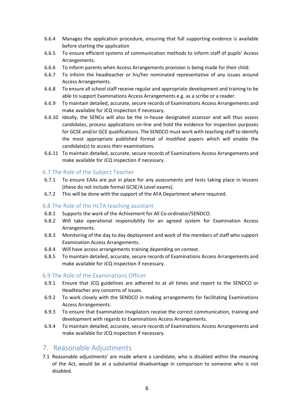- 6.6.4 Manages the application procedure, ensuring that full supporting evidence is available before starting the application
- 6.6.5 To ensure efficient systems of communication methods to inform staff of pupils' Access Arrangements.
- 6.6.6 To inform parents when Access Arrangements provision is being made for their child.
- 6.6.7 To inform the headteacher or his/her nominated representative of any issues around Access Arrangements.
- 6.6.8 To ensure all school staff receive regular and appropriate development and training to be able to support Examinations Access Arrangements e.g. as a scribe or a reader.
- 6.6.9 To maintain detailed, accurate, secure records of Examinations Access Arrangements and make available for JCQ inspection if necessary.
- 6.6.10 Ideally, the SENCo will also be the in-house designated assessor and will thus assess candidates, process applications on-line and hold the evidence for inspection purposes for GCSE and/or GCE qualifications. The SENDCO must work with teaching staff to identify the most appropriate published format of modified papers which will enable the candidate(s) to access their examinations.
- 6.6.11 To maintain detailed, accurate, secure records of Examinations Access Arrangements and make available for JCQ inspection if necessary.

#### 6.7 The Role of the Subject Teacher

- 6.7.1 To ensure EAAs are put in place for any assessments and tests taking place in lessons (these do not include formal GCSE/A Level exams).
- 6.7.2 This will be done with the support of the AFA Department where required.

#### 6.8 The Role of the HLTA teaching assistant

- 6.8.1 Supports the work of the Achivement for All Co-ordinator/SENDCO.
- 6.8.2 Will take operational responsibility for an agreed system for Examination Access Arrangements.
- 6.8.3 Monitoring of the day to day deployment and work of the members of staff who support Examination Access Arrangements.
- 6.8.4 Will have access arrangements training depending on context.
- 6.8.5 To maintain detailed, accurate, secure records of Examinations Access Arrangements and make available for JCQ inspection if necessary.

#### 6.9 The Role of the Examinations Officer

- 6.9.1 Ensure that JCQ guidelines are adhered to at all times and report to the SENDCO or Headteacher any concerns of issues.
- 6.9.2 To work closely with the SENDCO in making arrangements for facilitating Examinations Access Arrangements.
- 6.9.3 To ensure that Examination Invigilators receive the correct communication, training and development with regards to Examinations Access Arrangements.
- 6.9.4 To maintain detailed, accurate, secure records of Examinations Access Arrangements and make available for JCQ inspection if necessary.

## 7. Reasonable Adjustments

7.1 Reasonable adjustments' are made where a candidate, who is disabled within the meaning of the Act, would be at a substantial disadvantage in comparison to someone who is not disabled.